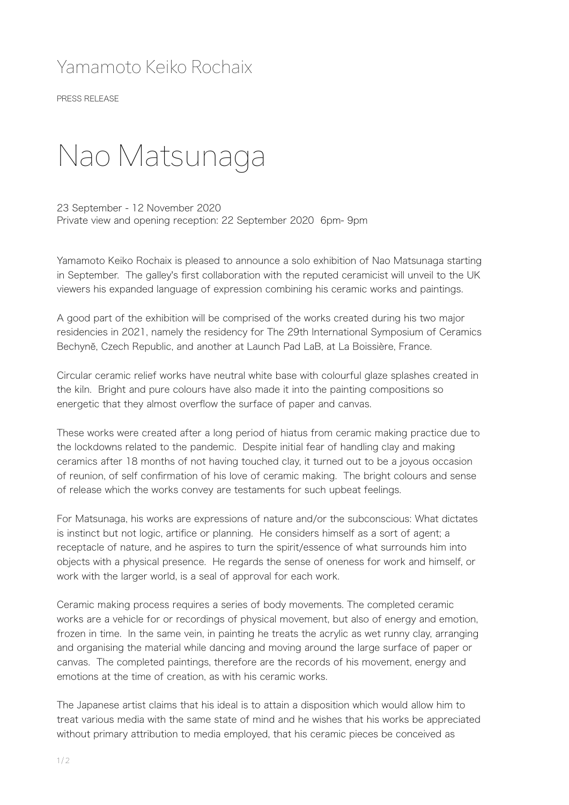## Yamamoto Keiko Rochaix

PRESS RELEASE

## Nao Matsunaga

23 September - 12 November 2020 Private view and opening reception: 22 September 2020 6pm- 9pm

Yamamoto Keiko Rochaix is pleased to announce a solo exhibition of Nao Matsunaga starting in September. The galley's first collaboration with the reputed ceramicist will unveil to the UK viewers his expanded language of expression combining his ceramic works and paintings.

A good part of the exhibition will be comprised of the works created during his two major residencies in 2021, namely the residency for The 29th International Symposium of Ceramics Bechyně, Czech Republic, and another at Launch Pad LaB, at La Boissière, France.

Circular ceramic relief works have neutral white base with colourful glaze splashes created in the kiln. Bright and pure colours have also made it into the painting compositions so energetic that they almost overflow the surface of paper and canvas.

These works were created after a long period of hiatus from ceramic making practice due to the lockdowns related to the pandemic. Despite initial fear of handling clay and making ceramics after 18 months of not having touched clay, it turned out to be a joyous occasion of reunion, of self confirmation of his love of ceramic making. The bright colours and sense of release which the works convey are testaments for such upbeat feelings.

For Matsunaga, his works are expressions of nature and/or the subconscious: What dictates is instinct but not logic, artifice or planning. He considers himself as a sort of agent; a receptacle of nature, and he aspires to turn the spirit/essence of what surrounds him into objects with a physical presence. He regards the sense of oneness for work and himself, or work with the larger world, is a seal of approval for each work.

Ceramic making process requires a series of body movements. The completed ceramic works are a vehicle for or recordings of physical movement, but also of energy and emotion, frozen in time. In the same vein, in painting he treats the acrylic as wet runny clay, arranging and organising the material while dancing and moving around the large surface of paper or canvas. The completed paintings, therefore are the records of his movement, energy and emotions at the time of creation, as with his ceramic works.

The Japanese artist claims that his ideal is to attain a disposition which would allow him to treat various media with the same state of mind and he wishes that his works be appreciated without primary attribution to media employed, that his ceramic pieces be conceived as